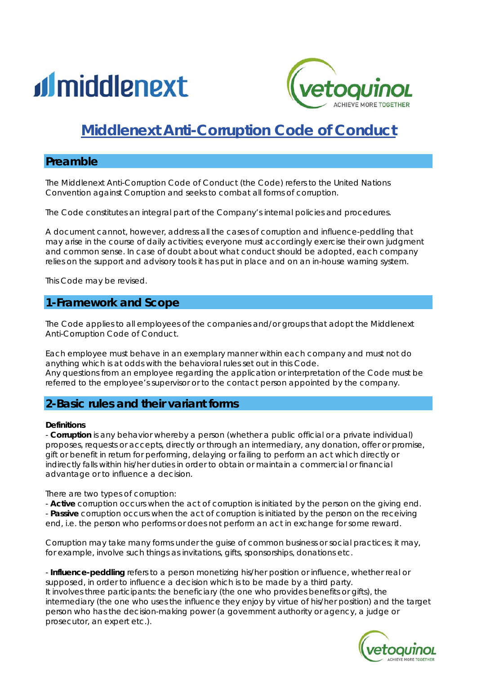



# *Middlenext Anti-Corruption Code of Conduct*

# **Preamble**

The Middlenext Anti-Corruption Code of Conduct (the Code) refers to the United Nations Convention against Corruption and seeks to combat all forms of corruption.

The Code constitutes an integral part of the Company's internal policies and procedures.

A document cannot, however, address all the cases of corruption and influence-peddling that may arise in the course of daily activities; everyone must accordingly exercise their own judgment and common sense. In case of doubt about what conduct should be adopted, each company relies on the support and advisory tools it has put in place and on an in-house warning system.

This Code may be revised.

# **1-Framework and Scope**

The Code applies to all employees of the companies and/or groups that adopt the Middlenext Anti-Corruption Code of Conduct.

Each employee must behave in an exemplary manner within each company and must not do anything which is at odds with the behavioral rules set out in this Code. Any questions from an employee regarding the application or interpretation of the Code must be referred to the employee's supervisor or to the contact person appointed by the company.

# **2-Basic rules and their variant forms**

#### **Definitions**

- **Corruption** is any behavior whereby a person (whether a public official or a private individual) proposes, requests or accepts, directly or through an intermediary, any donation, offer or promise, gift or benefit in return for performing, delaying or failing to perform an act which directly or indirectly falls within his/her duties in order to obtain or maintain a commercial or financial advantage or to influence a decision.

There are two types of corruption:

- **Active** corruption occurs when the act of corruption is initiated by the person on the giving end. - **Passive** corruption occurs when the act of corruption is initiated by the person on the receiving

end, i.e. the person who performs or does not perform an act in exchange for some reward.

Corruption may take many forms under the guise of common business or social practices; it may, for example, involve such things as invitations, gifts, sponsorships, donations etc.

- **Influence-peddling** refers to a person monetizing his/her position or influence, whether real or supposed, in order to influence a decision which is to be made by a third party. It involves three participants: the beneficiary (the one who provides benefits or gifts), the intermediary (the one who uses the influence they enjoy by virtue of his/her position) and the target person who has the decision-making power (a government authority or agency, a judge or prosecutor, an expert etc.).

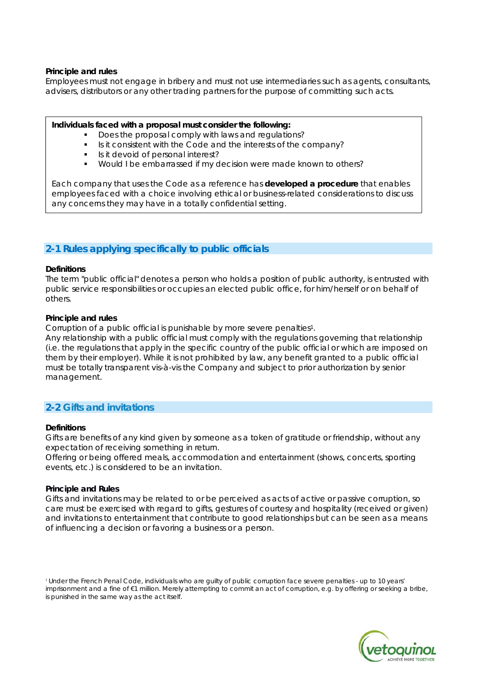#### **Principle and rules**

Employees must not engage in bribery and must not use intermediaries such as agents, consultants, advisers, distributors or any other trading partners for the purpose of committing such acts.

#### **Individuals faced with a proposal must consider the following:**

- Does the proposal comply with laws and regulations?
- Is it consistent with the Code and the interests of the company?
- Is it devoid of personal interest?
- Would I be embarrassed if my decision were made known to others?

Each company that uses the Code as a reference has **developed a procedure** that enables employees faced with a choice involving ethical or business-related considerations to discuss any concerns they may have in a totally confidential setting.

# **2-1 Rules applying specifically to public officials**

#### **Definitions**

The term "public official" denotes a person who holds a position of public authority, is entrusted with public service responsibilities or occupies an elected public office, for him/herself or on behalf of others.

#### **Principle and rules**

Corruption of a public official is punishable by more severe penalties<sup>1</sup>.

Any relationship with a public official must comply with the regulations governing that relationship (i.e. the regulations that apply in the specific country of the public official or which are imposed on them by their employer). While it is not prohibited by law, any benefit granted to a public official must be totally transparent vis-à-vis the Company and subject to prior authorization by senior management.

# **2-2 Gifts and invitations**

#### **Definitions**

Gifts are benefits of any kind given by someone as a token of gratitude or friendship, without any expectation of receiving something in return.

Offering or being offered meals, accommodation and entertainment (shows, concerts, sporting events, etc.) is considered to be an invitation.

#### **Principle and Rules**

Gifts and invitations may be related to or be perceived as acts of active or passive corruption, so care must be exercised with regard to gifts, gestures of courtesy and hospitality (received or given) and invitations to entertainment that contribute to good relationships but can be seen as a means of influencing a decision or favoring a business or a person.

<sup>1</sup> Under the French Penal Code, individuals who are guilty of public corruption face severe penalties - up to 10 years' imprisonment and a fine of €1 million. Merely attempting to commit an act of corruption, e.g. by offering or seeking a bribe, is punished in the same way as the act itself.

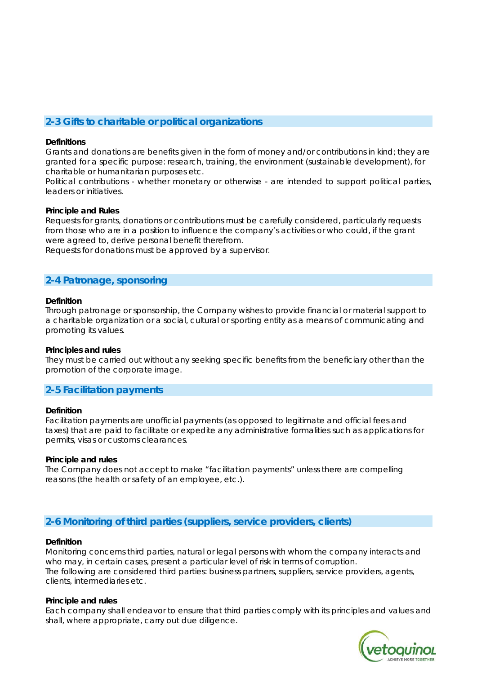# **2-3 Gifts to charitable or political organizations**

#### **Definitions**

Grants and donations are benefits given in the form of money and/or contributions in kind; they are granted for a specific purpose: research, training, the environment (sustainable development), for charitable or humanitarian purposes etc.

Political contributions - whether monetary or otherwise - are intended to support political parties, leaders or initiatives.

#### **Principle and Rules**

Requests for grants, donations or contributions must be carefully considered, particularly requests from those who are in a position to influence the company's activities or who could, if the grant were agreed to, derive personal benefit therefrom.

Requests for donations must be approved by a supervisor.

# **2-4 Patronage, sponsoring**

#### **Definition**

Through patronage or sponsorship, the Company wishes to provide financial or material support to a charitable organization or a social, cultural or sporting entity as a means of communicating and promoting its values.

#### **Principles and rules**

They must be carried out without any seeking specific benefits from the beneficiary other than the promotion of the corporate image.

# **2-5 Facilitation payments**

#### **Definition**

Facilitation payments are unofficial payments (as opposed to legitimate and official fees and taxes) that are paid to facilitate or expedite any administrative formalities such as applications for permits, visas or customs clearances.

#### **Principle and rules**

The Company does not accept to make "facilitation payments" unless there are compelling reasons (the health or safety of an employee, etc.).

# **2-6 Monitoring of third parties (suppliers, service providers, clients)**

#### **Definition**

Monitoring concerns third parties, natural or legal persons with whom the company interacts and who may, in certain cases, present a particular level of risk in terms of corruption. The following are considered third parties: business partners, suppliers, service providers, agents, clients, intermediaries etc.

#### **Principle and rules**

Each company shall endeavor to ensure that third parties comply with its principles and values and shall, where appropriate, carry out due diligence.

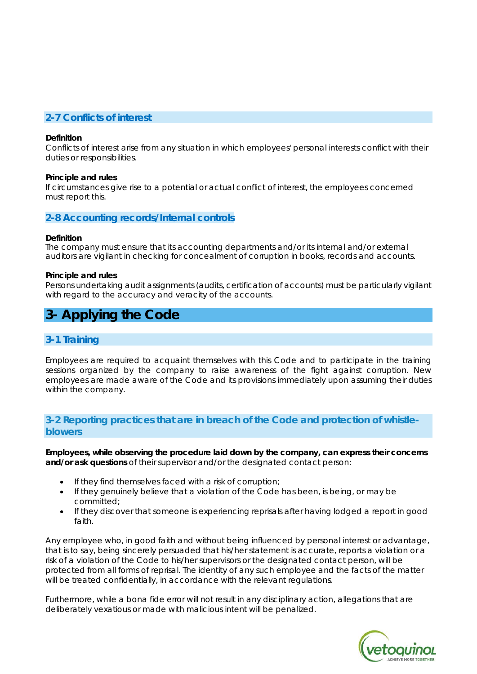# **2-7 Conflicts of interest**

#### **Definition**

Conflicts of interest arise from any situation in which employees' personal interests conflict with their duties or responsibilities.

#### **Principle and rules**

If circumstances give rise to a potential or actual conflict of interest, the employees concerned must report this.

#### **2-8 Accounting records/Internal controls**

#### **Definition**

The company must ensure that its accounting departments and/or its internal and/or external auditors are vigilant in checking for concealment of corruption in books, records and accounts.

#### **Principle and rules**

Persons undertaking audit assignments (audits, certification of accounts) must be particularly vigilant with regard to the accuracy and veracity of the accounts.

# **3- Applying the Code**

# **3-1 Training**

Employees are required to acquaint themselves with this Code and to participate in the training sessions organized by the company to raise awareness of the fight against corruption. New employees are made aware of the Code and its provisions immediately upon assuming their duties within the company.

# **3-2 Reporting practices that are in breach of the Code and protection of whistleblowers**

**Employees, while observing the procedure laid down by the company, can express their concerns and/or ask questions** of their supervisor and/or the designated contact person:

- If they find themselves faced with a risk of corruption;
- If they genuinely believe that a violation of the Code has been, is being, or may be committed;
- If they discover that someone is experiencing reprisals after having lodged a report in good faith.

Any employee who, in good faith and without being influenced by personal interest or advantage, that is to say, being sincerely persuaded that his/her statement is accurate, reports a violation or a risk of a violation of the Code to his/her supervisors or the designated contact person, will be protected from all forms of reprisal. The identity of any such employee and the facts of the matter will be treated confidentially, in accordance with the relevant regulations.

Furthermore, while a bona fide error will not result in any disciplinary action, allegations that are deliberately vexatious or made with malicious intent will be penalized.